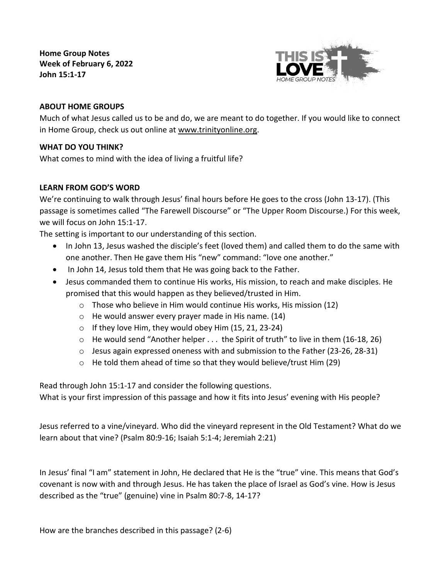**Home Group Notes Week of February 6, 2022 John 15:1-17**



# **ABOUT HOME GROUPS**

Much of what Jesus called us to be and do, we are meant to do together. If you would like to connect in Home Group, check us out online at [www.trinityonline.org.](http://www.trinityonline.org/)

# **WHAT DO YOU THINK?**

What comes to mind with the idea of living a fruitful life?

### **LEARN FROM GOD'S WORD**

We're continuing to walk through Jesus' final hours before He goes to the cross (John 13-17). (This passage is sometimes called "The Farewell Discourse" or "The Upper Room Discourse.) For this week, we will focus on John 15:1-17.

The setting is important to our understanding of this section.

- In John 13, Jesus washed the disciple's feet (loved them) and called them to do the same with one another. Then He gave them His "new" command: "love one another."
- In John 14, Jesus told them that He was going back to the Father.
- Jesus commanded them to continue His works, His mission, to reach and make disciples. He promised that this would happen as they believed/trusted in Him.
	- o Those who believe in Him would continue His works, His mission (12)
	- o He would answer every prayer made in His name. (14)
	- $\circ$  If they love Him, they would obey Him (15, 21, 23-24)
	- $\circ$  He would send "Another helper  $\dots$  the Spirit of truth" to live in them (16-18, 26)
	- $\circ$  Jesus again expressed oneness with and submission to the Father (23-26, 28-31)
	- $\circ$  He told them ahead of time so that they would believe/trust Him (29)

Read through John 15:1-17 and consider the following questions. What is your first impression of this passage and how it fits into Jesus' evening with His people?

Jesus referred to a vine/vineyard. Who did the vineyard represent in the Old Testament? What do we learn about that vine? (Psalm 80:9-16; Isaiah 5:1-4; Jeremiah 2:21)

In Jesus' final "I am" statement in John, He declared that He is the "true" vine. This means that God's covenant is now with and through Jesus. He has taken the place of Israel as God's vine. How is Jesus described as the "true" (genuine) vine in Psalm 80:7-8, 14-17?

How are the branches described in this passage? (2-6)